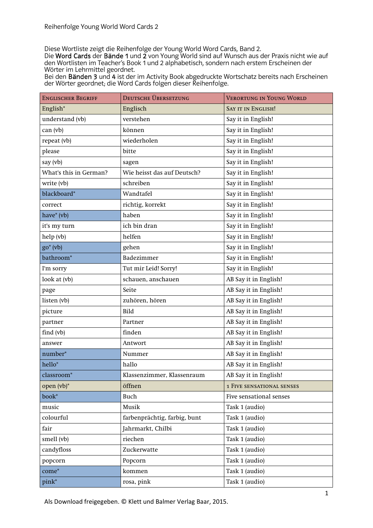Diese Wortliste zeigt die Reihenfolge der Young World Word Cards, Band 2.

Die Word Cards der Bände 1 und 2 von Young World sind auf Wunsch aus der Praxis nicht wie auf den Wortlisten im Teacher's Book 1 und 2 alphabetisch, sondern nach erstem Erscheinen der Wörter im Lehrmittel geordnet.

Bei den Bänden 3 und 4 ist der im Activity Book abgedruckte Wortschatz bereits nach Erscheinen der Wörter geordnet; die Word Cards folgen dieser Reihenfolge.

| <b>ENGLISCHER BEGRIFF</b> | DEUTSCHE ÜBERSETZUNG         | <b>VERORTUNG IN YOUNG WORLD</b>  |
|---------------------------|------------------------------|----------------------------------|
| English*                  | Englisch                     | <b>SAY IT IN ENGLISH!</b>        |
| understand (vb)           | verstehen                    | Say it in English!               |
| can (vb)                  | können                       | Say it in English!               |
| repeat (vb)               | wiederholen                  | Say it in English!               |
| please                    | bitte                        | Say it in English!               |
| say (vb)                  | sagen                        | Say it in English!               |
| What's this in German?    | Wie heisst das auf Deutsch?  | Say it in English!               |
| write (vb)                | schreiben                    | Say it in English!               |
| blackboard*               | Wandtafel                    | Say it in English!               |
| correct                   | richtig, korrekt             | Say it in English!               |
| have $*(vb)$              | haben                        | Say it in English!               |
| it's my turn              | ich bin dran                 | Say it in English!               |
| help (vb)                 | helfen                       | Say it in English!               |
| $go^*(vb)$                | gehen                        | Say it in English!               |
| bathroom <sup>*</sup>     | Badezimmer                   | Say it in English!               |
| I'm sorry                 | Tut mir Leid! Sorry!         | Say it in English!               |
| look at (vb)              | schauen, anschauen           | AB Say it in English!            |
| page                      | Seite                        | AB Say it in English!            |
| listen (vb)               | zuhören, hören               | AB Say it in English!            |
| picture                   | Bild                         | AB Say it in English!            |
| partner                   | Partner                      | AB Say it in English!            |
| find (vb)                 | finden                       | AB Say it in English!            |
| answer                    | Antwort                      | AB Say it in English!            |
| number*                   | Nummer                       | AB Say it in English!            |
| hello*                    | hallo                        | AB Say it in English!            |
| classroom*                | Klassenzimmer, Klassenraum   | AB Say it in English!            |
| open (vb)*                | öffnen                       | <b>1 FIVE SENSATIONAL SENSES</b> |
| book*                     | Buch                         | Five sensational senses          |
| music                     | Musik                        | Task 1 (audio)                   |
| colourful                 | farbenprächtig, farbig, bunt | Task 1 (audio)                   |
| fair                      | Jahrmarkt, Chilbi            | Task 1 (audio)                   |
| smell (vb)                | riechen                      | Task 1 (audio)                   |
| candyfloss                | Zuckerwatte                  | Task 1 (audio)                   |
| popcorn                   | Popcorn                      | Task 1 (audio)                   |
| $come^*$                  | kommen                       | Task 1 (audio)                   |
| pink*                     | rosa, pink                   | Task 1 (audio)                   |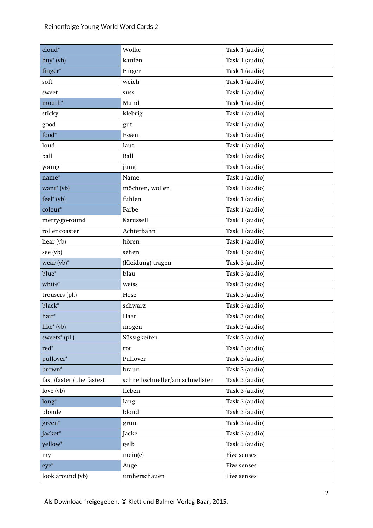| cloud*                     | Wolke                            | Task 1 (audio) |
|----------------------------|----------------------------------|----------------|
| $buy^*(vb)$                | kaufen                           | Task 1 (audio) |
| finger*                    | Finger                           | Task 1 (audio) |
| soft                       | weich                            | Task 1 (audio) |
| sweet                      | süss                             | Task 1 (audio) |
| mouth*                     | Mund                             | Task 1 (audio) |
| sticky                     | klebrig                          | Task 1 (audio) |
| good                       | gut                              | Task 1 (audio) |
| $food*$                    | Essen                            | Task 1 (audio) |
| loud                       | laut                             | Task 1 (audio) |
| ball                       | <b>Ball</b>                      | Task 1 (audio) |
| young                      | jung                             | Task 1 (audio) |
| $name*$                    | Name                             | Task 1 (audio) |
| want* (vb)                 | möchten, wollen                  | Task 1 (audio) |
| $feel^*(vb)$               | fühlen                           | Task 1 (audio) |
| colour*                    | Farbe                            | Task 1 (audio) |
| merry-go-round             | <b>Karussell</b>                 | Task 1 (audio) |
| roller coaster             | Achterbahn                       | Task 1 (audio) |
| hear (vb)                  | hören                            | Task 1 (audio) |
| see (vb)                   | sehen                            | Task 1 (audio) |
| wear $(vb)^*$              | (Kleidung) tragen                | Task 3 (audio) |
| blue*                      | blau                             | Task 3 (audio) |
| white*                     | weiss                            | Task 3 (audio) |
| trousers (pl.)             | Hose                             | Task 3 (audio) |
| black*                     | schwarz                          | Task 3 (audio) |
| hair*                      | Haar                             | Task 3 (audio) |
| $like* (vb)$               | mögen                            | Task 3 (audio) |
| sweets* (pl.)              | Süssigkeiten                     | Task 3 (audio) |
| $\text{red}^*$             | rot                              | Task 3 (audio) |
| pullover*                  | Pullover                         | Task 3 (audio) |
| brown <sup>*</sup>         | braun                            | Task 3 (audio) |
| fast /faster / the fastest | schnell/schneller/am schnellsten | Task 3 (audio) |
| love $(vb)$                | lieben                           | Task 3 (audio) |
| $long^*$                   | lang                             | Task 3 (audio) |
| blonde                     | blond                            | Task 3 (audio) |
| green*                     | grün                             | Task 3 (audio) |
| jacket*                    | Jacke                            | Task 3 (audio) |
| yellow*                    | gelb                             | Task 3 (audio) |
| my                         | mein(e)                          | Five senses    |
| $eye^*$                    | Auge                             | Five senses    |
| look around (vb)           | umherschauen                     | Five senses    |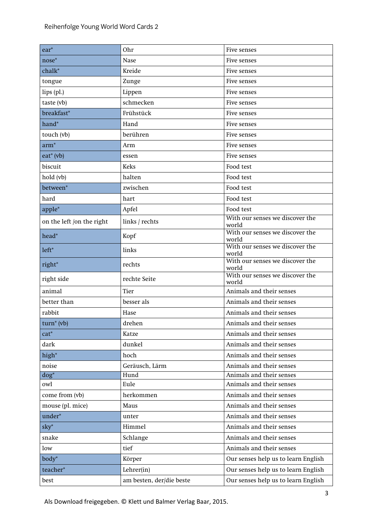| $ear*$                    | Ohr                      | Five senses                              |
|---------------------------|--------------------------|------------------------------------------|
| nose*                     | <b>Nase</b>              | Five senses                              |
| chalk*                    | Kreide                   | Five senses                              |
| tongue                    | Zunge                    | Five senses                              |
| $lips$ (pl.)              | Lippen                   | Five senses                              |
| taste (vb)                | schmecken                | Five senses                              |
| breakfast*                | Frühstück                | Five senses                              |
| hand*                     | Hand                     | Five senses                              |
| touch (vb)                | berühren                 | Five senses                              |
| $arm*$                    | Arm                      | Five senses                              |
| $eat^*$ (vb)              | essen                    | Five senses                              |
| biscuit                   | <b>Keks</b>              | Food test                                |
| hold (vb)                 | halten                   | Food test                                |
| between*                  | zwischen                 | Food test                                |
| hard                      | hart                     | Food test                                |
| apple*                    | Apfel                    | Food test                                |
| on the left /on the right | links / rechts           | With our senses we discover the<br>world |
| head*                     | Kopf                     | With our senses we discover the<br>world |
| left*                     | links                    | With our senses we discover the<br>world |
| right*                    | rechts                   | With our senses we discover the<br>world |
| right side                | rechte Seite             | With our senses we discover the<br>world |
| animal                    | Tier                     | Animals and their senses                 |
| better than               | besser als               | Animals and their senses                 |
| rabbit                    | Hase                     | Animals and their senses                 |
| $turn^*(vb)$              | drehen                   | Animals and their senses                 |
| $cat^*$                   | Katze                    | Animals and their senses                 |
| dark                      | dunkel                   | Animals and their senses                 |
| high*                     | hoch                     | Animals and their senses                 |
| noise                     | Geräusch, Lärm           | Animals and their senses                 |
| $\log^*$                  | Hund                     | Animals and their senses                 |
| owl                       | Eule                     | Animals and their senses                 |
| come from (vb)            | herkommen                | Animals and their senses                 |
| mouse (pl. mice)          | Maus                     | Animals and their senses                 |
| under*                    | unter                    | Animals and their senses                 |
| $sky^*$                   | Himmel                   | Animals and their senses                 |
| snake                     | Schlange                 | Animals and their senses                 |
| low                       | tief                     | Animals and their senses                 |
| $body^*$                  | Körper                   | Our senses help us to learn English      |
| teacher*                  | Lehrer(in)               | Our senses help us to learn English      |
| best                      | am besten, der/die beste | Our senses help us to learn English      |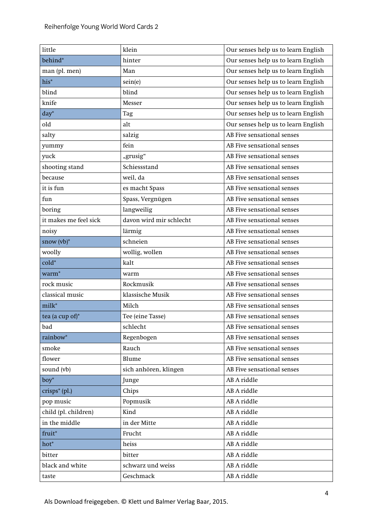| little                | klein                   | Our senses help us to learn English |
|-----------------------|-------------------------|-------------------------------------|
| behind*               | hinter                  | Our senses help us to learn English |
| man (pl. men)         | Man                     | Our senses help us to learn English |
| his*                  | sein(e)                 | Our senses help us to learn English |
| blind                 | blind                   | Our senses help us to learn English |
| knife                 | Messer                  | Our senses help us to learn English |
| $day^*$               | Tag                     | Our senses help us to learn English |
| old                   | alt                     | Our senses help us to learn English |
| salty                 | salzig                  | AB Five sensational senses          |
| yummy                 | fein                    | AB Five sensational senses          |
| yuck                  | "grusig"                | AB Five sensational senses          |
| shooting stand        | Schiessstand            | AB Five sensational senses          |
| because               | weil, da                | AB Five sensational senses          |
| it is fun             | es macht Spass          | AB Five sensational senses          |
| fun                   | Spass, Vergnügen        | AB Five sensational senses          |
| boring                | langweilig              | AB Five sensational senses          |
| it makes me feel sick | davon wird mir schlecht | AB Five sensational senses          |
| noisy                 | lärmig                  | AB Five sensational senses          |
| snow $(vb)^*$         | schneien                | AB Five sensational senses          |
| woolly                | wollig, wollen          | AB Five sensational senses          |
| $cold*$               | kalt                    | AB Five sensational senses          |
| warm <sup>*</sup>     | warm                    | AB Five sensational senses          |
| rock music            | Rockmusik               | AB Five sensational senses          |
| classical music       | klassische Musik        | AB Five sensational senses          |
| milk*                 | Milch                   | AB Five sensational senses          |
| tea (a cup of)*       | Tee (eine Tasse)        | AB Five sensational senses          |
| bad                   | schlecht                | AB Five sensational senses          |
| rainbow*              | Regenbogen              | AB Five sensational senses          |
| smoke                 | Rauch                   | AB Five sensational senses          |
| flower                | Blume                   | AB Five sensational senses          |
| sound (vb)            | sich anhören, klingen   | AB Five sensational senses          |
| $boy^*$               | Junge                   | AB A riddle                         |
| $crisps^*(p1.)$       | Chips                   | AB A riddle                         |
| pop music             | Popmusik                | AB A riddle                         |
| child (pl. children)  | Kind                    | AB A riddle                         |
| in the middle         | in der Mitte            | AB A riddle                         |
| fruit*                | Frucht                  | AB A riddle                         |
| hot*                  | heiss                   | AB A riddle                         |
| bitter                | bitter                  | AB A riddle                         |
| black and white       | schwarz und weiss       | AB A riddle                         |
| taste                 | Geschmack               | AB A riddle                         |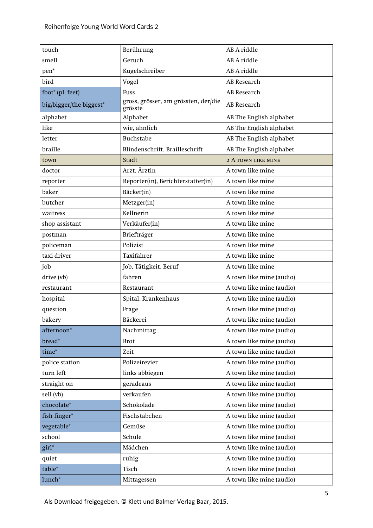| touch                   | Berührung                                       | AB A riddle              |
|-------------------------|-------------------------------------------------|--------------------------|
| smell                   | Geruch                                          | AB A riddle              |
| pen*                    | Kugelschreiber                                  | AB A riddle              |
| bird                    | Vogel                                           | AB Research              |
| foot* (pl. feet)        | Fuss                                            | AB Research              |
| big/bigger/the biggest* | gross, grösser, am grössten, der/die<br>grösste | AB Research              |
| alphabet                | Alphabet                                        | AB The English alphabet  |
| like                    | wie, ähnlich                                    | AB The English alphabet  |
| letter                  | <b>Buchstabe</b>                                | AB The English alphabet  |
| braille                 | Blindenschrift, Brailleschrift                  | AB The English alphabet  |
| town                    | Stadt                                           | 2 A TOWN LIKE MINE       |
| doctor                  | Arzt, Ärztin                                    | A town like mine         |
| reporter                | Reporter(in), Berichterstatter(in)              | A town like mine         |
| baker                   | Bäcker(in)                                      | A town like mine         |
| butcher                 | Metzger(in)                                     | A town like mine         |
| waitress                | Kellnerin                                       | A town like mine         |
| shop assistant          | Verkäufer(in)                                   | A town like mine         |
| postman                 | Briefträger                                     | A town like mine         |
| policeman               | Polizist                                        | A town like mine         |
| taxi driver             | Taxifahrer                                      | A town like mine         |
| job                     | Job, Tätigkeit, Beruf                           | A town like mine         |
| drive (vb)              | fahren                                          | A town like mine (audio) |
| restaurant              | Restaurant                                      | A town like mine (audio) |
| hospital                | Spital, Krankenhaus                             | A town like mine (audio) |
| question                | Frage                                           | A town like mine (audio) |
| bakery                  | Bäckerei                                        | A town like mine (audio) |
| afternoon*              | Nachmittag                                      | A town like mine (audio) |
| bread*                  | <b>Brot</b>                                     | A town like mine (audio) |
| time*                   | Zeit                                            | A town like mine (audio) |
| police station          | Polizeirevier                                   | A town like mine (audio) |
| turn left               | links abbiegen                                  | A town like mine (audio) |
| straight on             | geradeaus                                       | A town like mine (audio) |
| sell (vb)               | verkaufen                                       | A town like mine (audio) |
| chocolate*              | Schokolade                                      | A town like mine (audio) |
| fish finger*            | Fischstäbchen                                   | A town like mine (audio) |
| vegetable*              | Gemüse                                          | A town like mine (audio) |
| school                  | Schule                                          | A town like mine (audio) |
| girl*                   | Mädchen                                         | A town like mine (audio) |
| quiet                   | ruhig                                           | A town like mine (audio) |
| table*                  | Tisch                                           | A town like mine (audio) |
| lunch <sup>*</sup>      | Mittagessen                                     | A town like mine (audio) |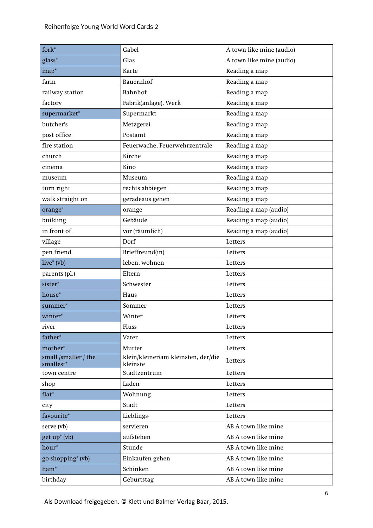| $fork^*$                          | Gabel                                           | A town like mine (audio) |
|-----------------------------------|-------------------------------------------------|--------------------------|
| glass*                            | Glas                                            | A town like mine (audio) |
| $map^*$                           | Karte                                           | Reading a map            |
| farm                              | Bauernhof                                       | Reading a map            |
| railway station                   | Bahnhof                                         | Reading a map            |
| factory                           | Fabrik(anlage), Werk                            | Reading a map            |
| supermarket*                      | Supermarkt                                      | Reading a map            |
| butcher's                         | Metzgerei                                       | Reading a map            |
| post office                       | Postamt                                         | Reading a map            |
| fire station                      | Feuerwache, Feuerwehrzentrale                   | Reading a map            |
| church                            | Kirche                                          | Reading a map            |
| cinema                            | Kino                                            | Reading a map            |
| museum                            | Museum                                          | Reading a map            |
| turn right                        | rechts abbiegen                                 | Reading a map            |
| walk straight on                  | geradeaus gehen                                 | Reading a map            |
| orange*                           | orange                                          | Reading a map (audio)    |
| building                          | Gebäude                                         | Reading a map (audio)    |
| in front of                       | vor (räumlich)                                  | Reading a map (audio)    |
| village                           | Dorf                                            | Letters                  |
| pen friend                        | Brieffreund(in)                                 | Letters                  |
| live* $(vb)$                      | leben, wohnen                                   | Letters                  |
| parents (pl.)                     | Eltern                                          | Letters                  |
| sister*                           | Schwester                                       | Letters                  |
| house*                            | Haus                                            | Letters                  |
| summer*                           | Sommer                                          | Letters                  |
| winter*                           | Winter                                          | Letters                  |
| river                             | Fluss                                           | Letters                  |
| father*                           | Vater                                           | Letters                  |
| mother*                           | Mutter                                          | Letters                  |
| small /smaller / the<br>smallest* | klein/kleiner/am kleinsten, der/die<br>kleinste | Letters                  |
| town centre                       | Stadtzentrum                                    | Letters                  |
| shop                              | Laden                                           | Letters                  |
| $flat^*$                          | Wohnung                                         | Letters                  |
| city                              | Stadt                                           | Letters                  |
| favourite*                        | Lieblings-                                      | Letters                  |
| serve (vb)                        | servieren                                       | AB A town like mine      |
| get up* (vb)                      | aufstehen                                       | AB A town like mine      |
| hour*                             | Stunde                                          | AB A town like mine      |
| go shopping <sup>*</sup> (vb)     | Einkaufen gehen                                 | AB A town like mine      |
| $ham^*$                           | Schinken                                        | AB A town like mine      |
| birthday                          | Geburtstag                                      | AB A town like mine      |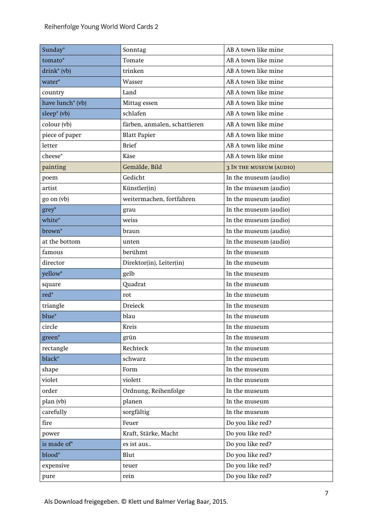| Sunday*                      | Sonntag                      | AB A town like mine            |
|------------------------------|------------------------------|--------------------------------|
| tomato*                      | Tomate                       | AB A town like mine            |
| $drink^*(vb)$                | trinken                      | AB A town like mine            |
| water*                       | Wasser                       | AB A town like mine            |
| country                      | Land                         | AB A town like mine            |
| have lunch <sup>*</sup> (vb) | Mittag essen                 | AB A town like mine            |
| sleep* (vb)                  | schlafen                     | AB A town like mine            |
| colour (vb)                  | färben, anmalen, schattieren | AB A town like mine            |
| piece of paper               | <b>Blatt Papier</b>          | AB A town like mine            |
| letter                       | <b>Brief</b>                 | AB A town like mine            |
| cheese*                      | Käse                         | AB A town like mine            |
| painting                     | Gemälde, Bild                | <b>3 IN THE MUSEUM (AUDIO)</b> |
| poem                         | Gedicht                      | In the museum (audio)          |
| artist                       | Künstler(in)                 | In the museum (audio)          |
| go on (vb)                   | weitermachen, fortfahren     | In the museum (audio)          |
| grey*                        | grau                         | In the museum (audio)          |
| white*                       | weiss                        | In the museum (audio)          |
| brown <sup>*</sup>           | braun                        | In the museum (audio)          |
| at the bottom                | unten                        | In the museum (audio)          |
| famous                       | berühmt                      | In the museum                  |
| director                     | Direktor(in), Leiter(in)     | In the museum                  |
| yellow*                      | gelb                         | In the museum                  |
| square                       | Quadrat                      | In the museum                  |
| $\text{red}^*$               | rot                          | In the museum                  |
| triangle                     | Dreieck                      | In the museum                  |
| blue*                        | blau                         | In the museum                  |
| circle                       | Kreis                        | In the museum                  |
| green*                       | grün                         | In the museum                  |
| rectangle                    | Rechteck                     | In the museum                  |
| black*                       | schwarz                      | In the museum                  |
| shape                        | Form                         | In the museum                  |
| violet                       | violett                      | In the museum                  |
| order                        | Ordnung, Reihenfolge         | In the museum                  |
| plan (vb)                    | planen                       | In the museum                  |
| carefully                    | sorgfältig                   | In the museum                  |
| fire                         | Feuer                        | Do you like red?               |
| power                        | Kraft, Stärke, Macht         | Do you like red?               |
| is made of*                  | es ist aus                   | Do you like red?               |
| blood*                       | Blut                         | Do you like red?               |
| expensive                    | teuer                        | Do you like red?               |
| pure                         | rein                         | Do you like red?               |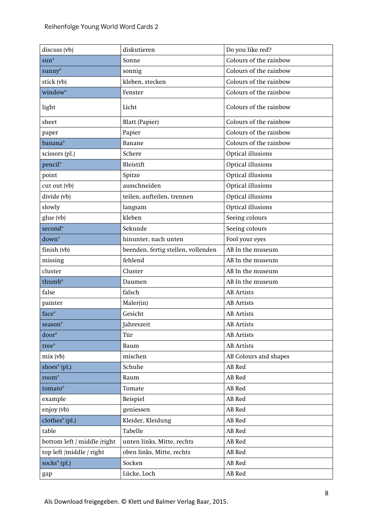| discuss (vb)                | diskutieren                        | Do you like red?       |
|-----------------------------|------------------------------------|------------------------|
| $sum^*$                     | Sonne                              | Colours of the rainbow |
| sunny*                      | sonnig                             | Colours of the rainbow |
| stick (vb)                  | kleben, stecken                    | Colours of the rainbow |
| window*                     | Fenster                            | Colours of the rainbow |
| light                       | Licht                              | Colours of the rainbow |
| sheet                       | <b>Blatt (Papier)</b>              | Colours of the rainbow |
| paper                       | Papier                             | Colours of the rainbow |
| banana*                     | Banane                             | Colours of the rainbow |
| scissors (pl.)              | Schere                             | Optical illusions      |
| pencil*                     | Bleistift                          | Optical illusions      |
| point                       | Spitze                             | Optical illusions      |
| cut out (vb)                | ausschneiden                       | Optical illusions      |
| divide (vb)                 | teilen, aufteilen, trennen         | Optical illusions      |
| slowly                      | langsam                            | Optical illusions      |
| glue (vb)                   | kleben                             | Seeing colours         |
| second*                     | Sekunde                            | Seeing colours         |
| $down^*$                    | hinunter, nach unten               | Fool your eyes         |
| finish (vb)                 | beenden, fertig stellen, vollenden | AB In the museum       |
| missing                     | fehlend                            | AB In the museum       |
| cluster                     | Cluster                            | AB In the museum       |
| thumb <sup>*</sup>          | Daumen                             | AB In the museum       |
| false                       | falsch                             | <b>AB</b> Artists      |
| painter                     | Maler(in)                          | <b>AB</b> Artists      |
| face*                       | Gesicht                            | <b>AB</b> Artists      |
| season*                     | Jahreszeit                         | <b>AB</b> Artists      |
| door*                       | Tür                                | <b>AB</b> Artists      |
| tree*                       | Baum                               | <b>AB</b> Artists      |
| mix(vb)                     | mischen                            | AB Colours and shapes  |
| shoes* (pl.)                | Schuhe                             | AB Red                 |
| $room^*$                    | Raum                               | AB Red                 |
| tomato*                     | Tomate                             | AB Red                 |
| example                     | Beispiel                           | AB Red                 |
| enjoy (vb)                  | geniessen                          | AB Red                 |
| clothes* (pl.)              | Kleider, Kleidung                  | AB Red                 |
| table                       | Tabelle                            | AB Red                 |
| bottom left / middle /right | unten links, Mitte, rechts         | AB Red                 |
| top left /middle / right    | oben links, Mitte, rechts          | AB Red                 |
| socks* (pl.)                | Socken                             | AB Red                 |
| gap                         | Lücke, Loch                        | AB Red                 |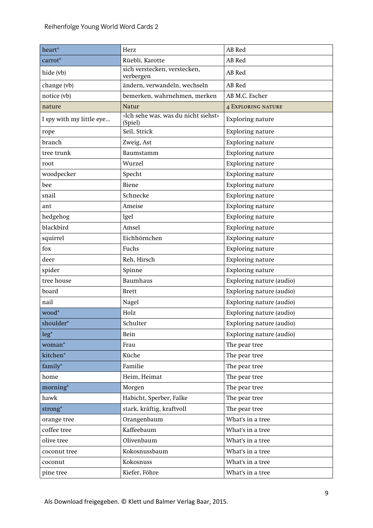| heart*                   | Herz                                           | AB Red                    |
|--------------------------|------------------------------------------------|---------------------------|
| carrot*                  | Rüebli, Karotte                                | AB Red                    |
| hide (vb)                | sich verstecken, verstecken,<br>verbergen      | AB Red                    |
| change (vb)              | ändern, verwandeln, wechseln                   | AB Red                    |
| notice (vb)              | bemerken, wahrnehmen, merken                   | AB M.C. Escher            |
| nature                   | Natur                                          | <b>4 EXPLORING NATURE</b> |
| I spy with my little eye | «Ich sehe was, was du nicht siehst»<br>(Spiel) | Exploring nature          |
| rope                     | Seil, Strick                                   | Exploring nature          |
| branch                   | Zweig, Ast                                     | Exploring nature          |
| tree trunk               | Baumstamm                                      | <b>Exploring nature</b>   |
| root                     | Wurzel                                         | <b>Exploring nature</b>   |
| woodpecker               | Specht                                         | <b>Exploring nature</b>   |
| bee                      | Biene                                          | <b>Exploring nature</b>   |
| snail                    | Schnecke                                       | <b>Exploring nature</b>   |
| ant                      | Ameise                                         | <b>Exploring nature</b>   |
| hedgehog                 | Igel                                           | <b>Exploring nature</b>   |
| blackbird                | Amsel                                          | <b>Exploring nature</b>   |
| squirrel                 | Eichhörnchen                                   | <b>Exploring nature</b>   |
| fox                      | Fuchs                                          | <b>Exploring nature</b>   |
| deer                     | Reh, Hirsch                                    | Exploring nature          |
| spider                   | Spinne                                         | <b>Exploring nature</b>   |
| tree house               | <b>Baumhaus</b>                                | Exploring nature (audio)  |
| board                    | <b>Brett</b>                                   | Exploring nature (audio)  |
| nail                     | Nagel                                          | Exploring nature (audio)  |
| wood*                    | Holz                                           | Exploring nature (audio)  |
| shoulder*                | Schulter                                       | Exploring nature (audio)  |
| $leg*$                   | Bein                                           | Exploring nature (audio)  |
| woman*                   | Frau                                           | The pear tree             |
| kitchen*                 | Küche                                          | The pear tree             |
| family*                  | Familie                                        | The pear tree             |
| $\hbox{home}$            | Heim, Heimat                                   | The pear tree             |
| morning*                 | Morgen                                         | The pear tree             |
| hawk                     | Habicht, Sperber, Falke                        | The pear tree             |
| strong*                  | stark, kräftig, kraftvoll                      | The pear tree             |
| orange tree              | Orangenbaum                                    | What's in a tree          |
| coffee tree              | Kaffeebaum                                     | What's in a tree          |
| olive tree               | Olivenbaum                                     | What's in a tree          |
| coconut tree             | Kokosnussbaum                                  | What's in a tree          |
| coconut                  | Kokosnuss                                      | What's in a tree          |
| pine tree                | Kiefer, Föhre                                  | What's in a tree          |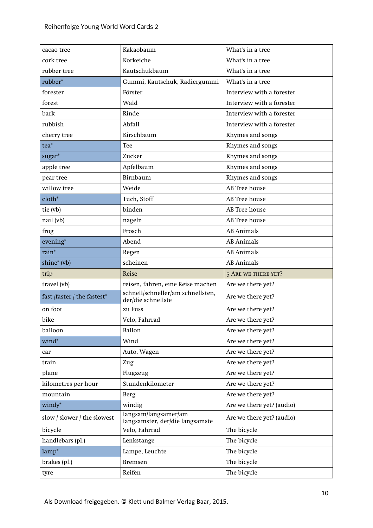| cacao tree                  | Kakaobaum                                               | What's in a tree           |
|-----------------------------|---------------------------------------------------------|----------------------------|
| cork tree                   | Korkeiche                                               | What's in a tree           |
| rubber tree                 | Kautschukbaum                                           | What's in a tree           |
| rubber*                     | Gummi, Kautschuk, Radiergummi                           | What's in a tree           |
| forester                    | Förster                                                 | Interview with a forester  |
| forest                      | Wald                                                    | Interview with a forester  |
| bark                        | Rinde                                                   | Interview with a forester  |
| rubbish                     | Abfall                                                  | Interview with a forester  |
| cherry tree                 | Kirschbaum                                              | Rhymes and songs           |
| $tea*$                      | Tee                                                     | Rhymes and songs           |
| sugar*                      | Zucker                                                  | Rhymes and songs           |
| apple tree                  | Apfelbaum                                               | Rhymes and songs           |
| pear tree                   | Birnbaum                                                | Rhymes and songs           |
| willow tree                 | Weide                                                   | AB Tree house              |
| $cloth*$                    | Tuch, Stoff                                             | AB Tree house              |
| tie (vb)                    | binden                                                  | <b>AB</b> Tree house       |
| nail (vb)                   | nageln                                                  | <b>AB</b> Tree house       |
| frog                        | Frosch                                                  | <b>AB</b> Animals          |
| evening*                    | Abend                                                   | <b>AB</b> Animals          |
| rain*                       | Regen                                                   | <b>AB</b> Animals          |
| shine* (vb)                 | scheinen                                                | <b>AB</b> Animals          |
| trip                        | Reise                                                   | <b>5 ARE WE THERE YET?</b> |
| travel (vb)                 | reisen, fahren, eine Reise machen                       | Are we there yet?          |
| fast /faster / the fastest* | schnell/schneller/am schnellsten,<br>der/die schnellste | Are we there yet?          |
| on foot                     | zu Fuss                                                 | Are we there yet?          |
| bike                        | Velo, Fahrrad                                           | Are we there yet?          |
| balloon                     | Ballon                                                  | Are we there yet?          |
| wind*                       | Wind                                                    | Are we there yet?          |
| car                         | Auto, Wagen                                             | Are we there yet?          |
| train                       | Zug                                                     | Are we there yet?          |
| plane                       | Flugzeug                                                | Are we there yet?          |
| kilometres per hour         | Stundenkilometer                                        | Are we there yet?          |
| mountain                    | Berg                                                    | Are we there yet?          |
| windy*                      | windig                                                  | Are we there yet? (audio)  |
| slow / slower / the slowest | langsam/langsamer/am<br>langsamster, der/die langsamste | Are we there yet? (audio)  |
| bicycle                     | Velo, Fahrrad                                           | The bicycle                |
| handlebars (pl.)            | Lenkstange                                              | The bicycle                |
| $lamp*$                     | Lampe, Leuchte                                          | The bicycle                |
| brakes (pl.)                | <b>Bremsen</b>                                          | The bicycle                |
| tyre                        | Reifen                                                  | The bicycle                |